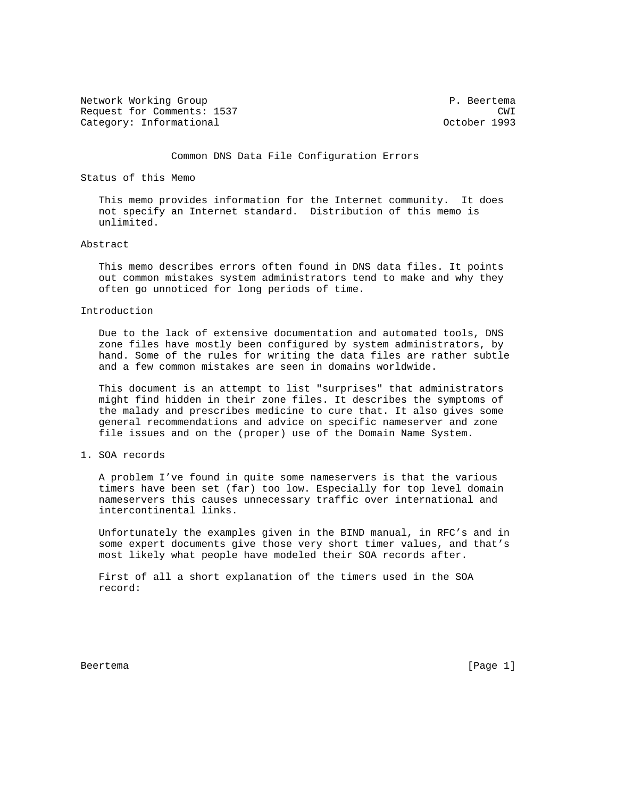Network Working Group **P. Beertema** Request for Comments: 1537 CWI Category: Informational and Category: Category: Informational and Category: Category: October 1993

Common DNS Data File Configuration Errors

Status of this Memo

 This memo provides information for the Internet community. It does not specify an Internet standard. Distribution of this memo is unlimited.

## Abstract

 This memo describes errors often found in DNS data files. It points out common mistakes system administrators tend to make and why they often go unnoticed for long periods of time.

## Introduction

 Due to the lack of extensive documentation and automated tools, DNS zone files have mostly been configured by system administrators, by hand. Some of the rules for writing the data files are rather subtle and a few common mistakes are seen in domains worldwide.

 This document is an attempt to list "surprises" that administrators might find hidden in their zone files. It describes the symptoms of the malady and prescribes medicine to cure that. It also gives some general recommendations and advice on specific nameserver and zone file issues and on the (proper) use of the Domain Name System.

# 1. SOA records

 A problem I've found in quite some nameservers is that the various timers have been set (far) too low. Especially for top level domain nameservers this causes unnecessary traffic over international and intercontinental links.

 Unfortunately the examples given in the BIND manual, in RFC's and in some expert documents give those very short timer values, and that's most likely what people have modeled their SOA records after.

 First of all a short explanation of the timers used in the SOA record:

Beertema [Page 1]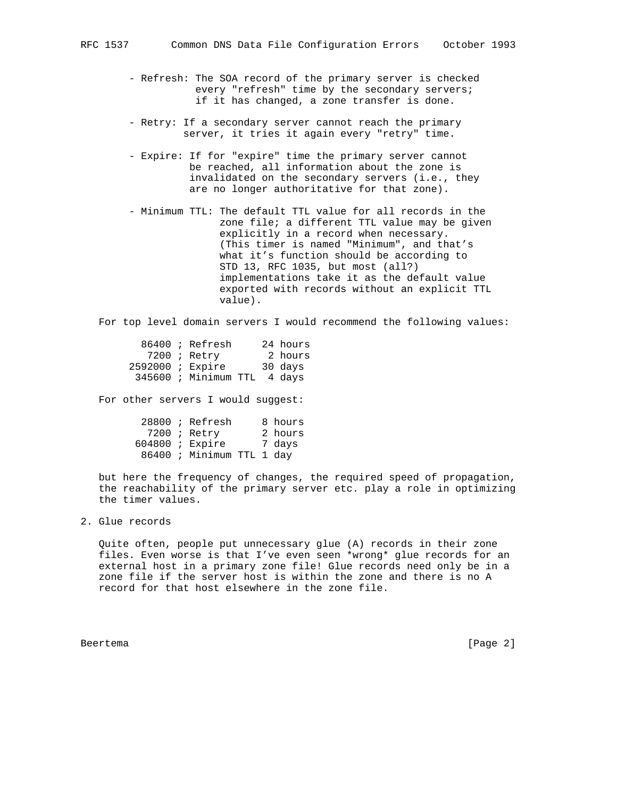- Refresh: The SOA record of the primary server is checked every "refresh" time by the secondary servers; if it has changed, a zone transfer is done.
- Retry: If a secondary server cannot reach the primary server, it tries it again every "retry" time.
- Expire: If for "expire" time the primary server cannot be reached, all information about the zone is invalidated on the secondary servers (i.e., they are no longer authoritative for that zone).
- Minimum TTL: The default TTL value for all records in the zone file; a different TTL value may be given explicitly in a record when necessary. (This timer is named "Minimum", and that's what it's function should be according to STD 13, RFC 1035, but most (all?) implementations take it as the default value exported with records without an explicit TTL value).

For top level domain servers I would recommend the following values:

|                    | $86400$ ; Refresh           |  | 24 hours |
|--------------------|-----------------------------|--|----------|
|                    | $7200$ ; Retry              |  | 2 hours  |
| $2592000$ ; Expire |                             |  | 30 days  |
|                    | 345600 ; Minimum TTL 4 days |  |          |

For other servers I would suggest:

|  | $28800$ ; Refresh         |  | 8 hours |
|--|---------------------------|--|---------|
|  | 7200 ; Retry              |  | 2 hours |
|  | $604800$ ; Expire         |  | 7 davs  |
|  | 86400 ; Minimum TTL 1 day |  |         |

 but here the frequency of changes, the required speed of propagation, the reachability of the primary server etc. play a role in optimizing the timer values.

2. Glue records

 Quite often, people put unnecessary glue (A) records in their zone files. Even worse is that I've even seen \*wrong\* glue records for an external host in a primary zone file! Glue records need only be in a zone file if the server host is within the zone and there is no A record for that host elsewhere in the zone file.

Beertema [Page 2]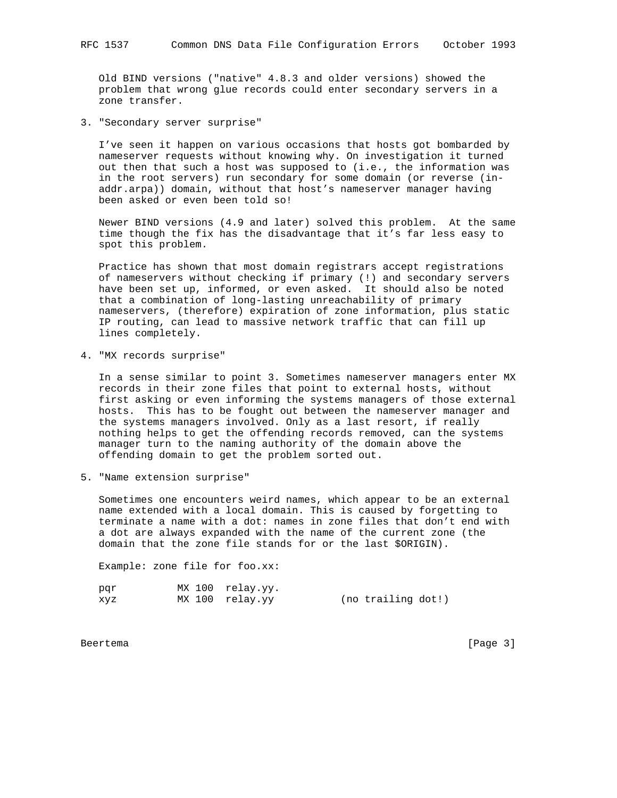Old BIND versions ("native" 4.8.3 and older versions) showed the problem that wrong glue records could enter secondary servers in a zone transfer.

3. "Secondary server surprise"

 I've seen it happen on various occasions that hosts got bombarded by nameserver requests without knowing why. On investigation it turned out then that such a host was supposed to (i.e., the information was in the root servers) run secondary for some domain (or reverse (in addr.arpa)) domain, without that host's nameserver manager having been asked or even been told so!

 Newer BIND versions (4.9 and later) solved this problem. At the same time though the fix has the disadvantage that it's far less easy to spot this problem.

 Practice has shown that most domain registrars accept registrations of nameservers without checking if primary (!) and secondary servers have been set up, informed, or even asked. It should also be noted that a combination of long-lasting unreachability of primary nameservers, (therefore) expiration of zone information, plus static IP routing, can lead to massive network traffic that can fill up lines completely.

4. "MX records surprise"

 In a sense similar to point 3. Sometimes nameserver managers enter MX records in their zone files that point to external hosts, without first asking or even informing the systems managers of those external hosts. This has to be fought out between the nameserver manager and the systems managers involved. Only as a last resort, if really nothing helps to get the offending records removed, can the systems manager turn to the naming authority of the domain above the offending domain to get the problem sorted out.

5. "Name extension surprise"

 Sometimes one encounters weird names, which appear to be an external name extended with a local domain. This is caused by forgetting to terminate a name with a dot: names in zone files that don't end with a dot are always expanded with the name of the current zone (the domain that the zone file stands for or the last \$ORIGIN).

Example: zone file for foo.xx:

| par | MX 100 relay.yy. |                    |  |
|-----|------------------|--------------------|--|
| xyz | MX 100 relay.yy  | (no trailing dot!) |  |

Beertema [Page 3]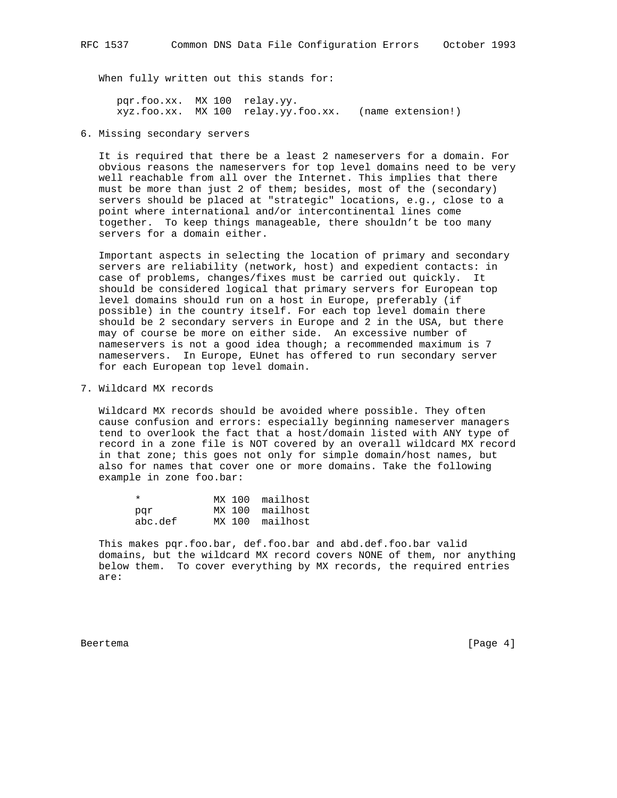When fully written out this stands for:

 pqr.foo.xx. MX 100 relay.yy. xyz.foo.xx. MX 100 relay.yy.foo.xx. (name extension!)

6. Missing secondary servers

 It is required that there be a least 2 nameservers for a domain. For obvious reasons the nameservers for top level domains need to be very well reachable from all over the Internet. This implies that there must be more than just 2 of them; besides, most of the (secondary) servers should be placed at "strategic" locations, e.g., close to a point where international and/or intercontinental lines come together. To keep things manageable, there shouldn't be too many servers for a domain either.

 Important aspects in selecting the location of primary and secondary servers are reliability (network, host) and expedient contacts: in case of problems, changes/fixes must be carried out quickly. It should be considered logical that primary servers for European top level domains should run on a host in Europe, preferably (if possible) in the country itself. For each top level domain there should be 2 secondary servers in Europe and 2 in the USA, but there may of course be more on either side. An excessive number of nameservers is not a good idea though; a recommended maximum is 7 nameservers. In Europe, EUnet has offered to run secondary server for each European top level domain.

7. Wildcard MX records

 Wildcard MX records should be avoided where possible. They often cause confusion and errors: especially beginning nameserver managers tend to overlook the fact that a host/domain listed with ANY type of record in a zone file is NOT covered by an overall wildcard MX record in that zone; this goes not only for simple domain/host names, but also for names that cover one or more domains. Take the following example in zone foo.bar:

|         | MX 100 mailhost |
|---------|-----------------|
| par     | MX 100 mailhost |
| abc.def | MX 100 mailhost |

 This makes pqr.foo.bar, def.foo.bar and abd.def.foo.bar valid domains, but the wildcard MX record covers NONE of them, nor anything below them. To cover everything by MX records, the required entries are:

Beertema [Page 4]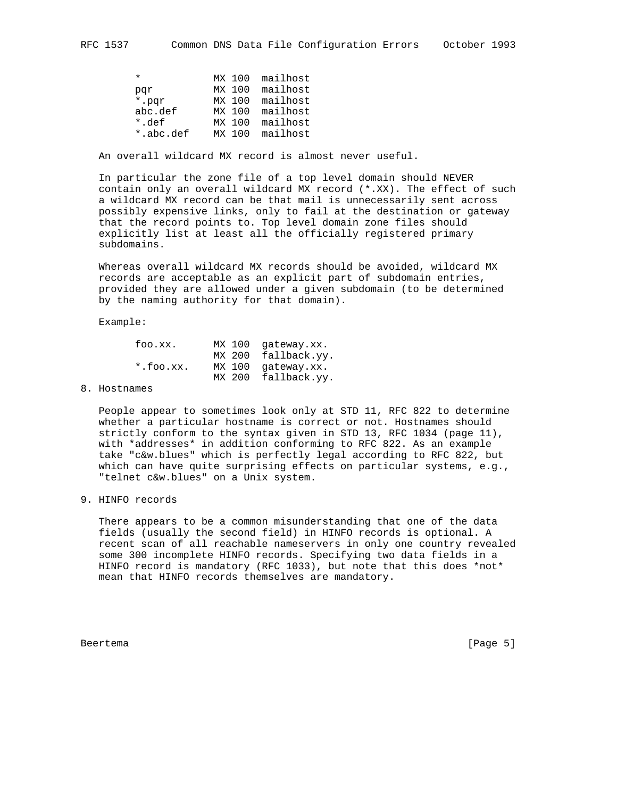| $\star$   |        | MX 100 mailhost |
|-----------|--------|-----------------|
| par       | MX 100 | mailhost        |
| *.par     | MX 100 | mailhost        |
| abc.def   |        | MX 100 mailhost |
| *.def     | MX 100 | mailhost        |
| *.abc.def | MX 100 | mailhost        |

An overall wildcard MX record is almost never useful.

 In particular the zone file of a top level domain should NEVER contain only an overall wildcard MX record (\*.XX). The effect of such a wildcard MX record can be that mail is unnecessarily sent across possibly expensive links, only to fail at the destination or gateway that the record points to. Top level domain zone files should explicitly list at least all the officially registered primary subdomains.

 Whereas overall wildcard MX records should be avoided, wildcard MX records are acceptable as an explicit part of subdomain entries, provided they are allowed under a given subdomain (to be determined by the naming authority for that domain).

Example:

| foo.xx.      | MX 100 gateway.xx.  |
|--------------|---------------------|
|              | MX 200 fallback.yy. |
| $*.$ foo.xx. | MX 100 gateway.xx.  |
|              | MX 200 fallback.yy. |

# 8. Hostnames

 People appear to sometimes look only at STD 11, RFC 822 to determine whether a particular hostname is correct or not. Hostnames should strictly conform to the syntax given in STD 13, RFC 1034 (page 11), with \*addresses\* in addition conforming to RFC 822. As an example take "c&w.blues" which is perfectly legal according to RFC 822, but which can have quite surprising effects on particular systems, e.g., "telnet c&w.blues" on a Unix system.

### 9. HINFO records

 There appears to be a common misunderstanding that one of the data fields (usually the second field) in HINFO records is optional. A recent scan of all reachable nameservers in only one country revealed some 300 incomplete HINFO records. Specifying two data fields in a HINFO record is mandatory (RFC 1033), but note that this does \*not\* mean that HINFO records themselves are mandatory.

Beertema [Page 5]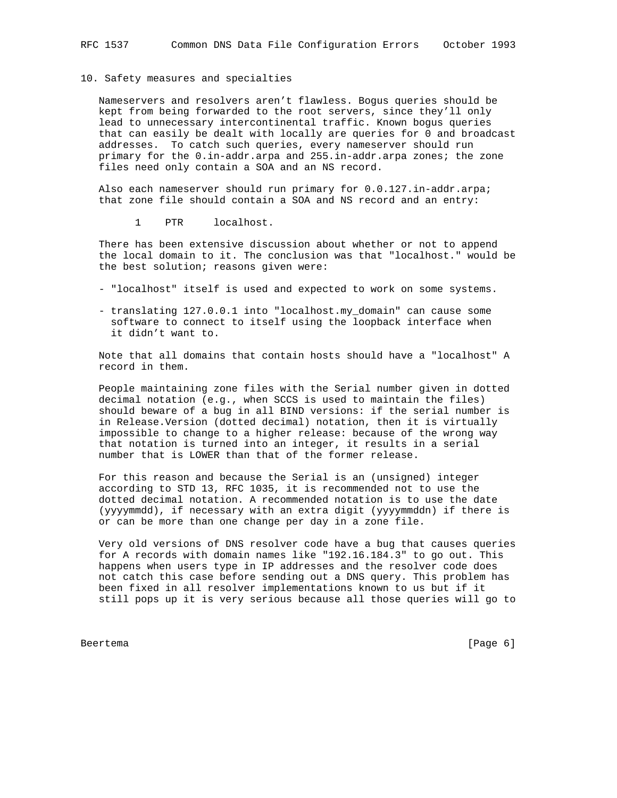### 10. Safety measures and specialties

 Nameservers and resolvers aren't flawless. Bogus queries should be kept from being forwarded to the root servers, since they'll only lead to unnecessary intercontinental traffic. Known bogus queries that can easily be dealt with locally are queries for 0 and broadcast addresses. To catch such queries, every nameserver should run primary for the 0.in-addr.arpa and 255.in-addr.arpa zones; the zone files need only contain a SOA and an NS record.

 Also each nameserver should run primary for 0.0.127.in-addr.arpa; that zone file should contain a SOA and NS record and an entry:

1 PTR localhost.

 There has been extensive discussion about whether or not to append the local domain to it. The conclusion was that "localhost." would be the best solution; reasons given were:

- "localhost" itself is used and expected to work on some systems.
- translating 127.0.0.1 into "localhost.my\_domain" can cause some software to connect to itself using the loopback interface when it didn't want to.

 Note that all domains that contain hosts should have a "localhost" A record in them.

 People maintaining zone files with the Serial number given in dotted decimal notation (e.g., when SCCS is used to maintain the files) should beware of a bug in all BIND versions: if the serial number is in Release.Version (dotted decimal) notation, then it is virtually impossible to change to a higher release: because of the wrong way that notation is turned into an integer, it results in a serial number that is LOWER than that of the former release.

 For this reason and because the Serial is an (unsigned) integer according to STD 13, RFC 1035, it is recommended not to use the dotted decimal notation. A recommended notation is to use the date (yyyymmdd), if necessary with an extra digit (yyyymmddn) if there is or can be more than one change per day in a zone file.

 Very old versions of DNS resolver code have a bug that causes queries for A records with domain names like "192.16.184.3" to go out. This happens when users type in IP addresses and the resolver code does not catch this case before sending out a DNS query. This problem has been fixed in all resolver implementations known to us but if it still pops up it is very serious because all those queries will go to

Beertema [Page 6]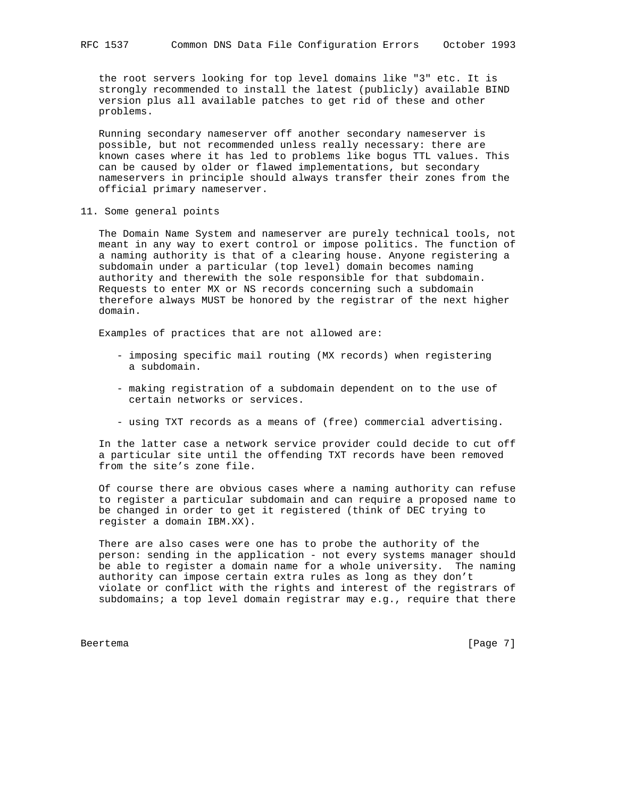the root servers looking for top level domains like "3" etc. It is strongly recommended to install the latest (publicly) available BIND version plus all available patches to get rid of these and other problems.

 Running secondary nameserver off another secondary nameserver is possible, but not recommended unless really necessary: there are known cases where it has led to problems like bogus TTL values. This can be caused by older or flawed implementations, but secondary nameservers in principle should always transfer their zones from the official primary nameserver.

11. Some general points

 The Domain Name System and nameserver are purely technical tools, not meant in any way to exert control or impose politics. The function of a naming authority is that of a clearing house. Anyone registering a subdomain under a particular (top level) domain becomes naming authority and therewith the sole responsible for that subdomain. Requests to enter MX or NS records concerning such a subdomain therefore always MUST be honored by the registrar of the next higher domain.

Examples of practices that are not allowed are:

- imposing specific mail routing (MX records) when registering a subdomain.
- making registration of a subdomain dependent on to the use of certain networks or services.
- using TXT records as a means of (free) commercial advertising.

 In the latter case a network service provider could decide to cut off a particular site until the offending TXT records have been removed from the site's zone file.

 Of course there are obvious cases where a naming authority can refuse to register a particular subdomain and can require a proposed name to be changed in order to get it registered (think of DEC trying to register a domain IBM.XX).

 There are also cases were one has to probe the authority of the person: sending in the application - not every systems manager should be able to register a domain name for a whole university. The naming authority can impose certain extra rules as long as they don't violate or conflict with the rights and interest of the registrars of subdomains; a top level domain registrar may e.g., require that there

Beertema [Page 7]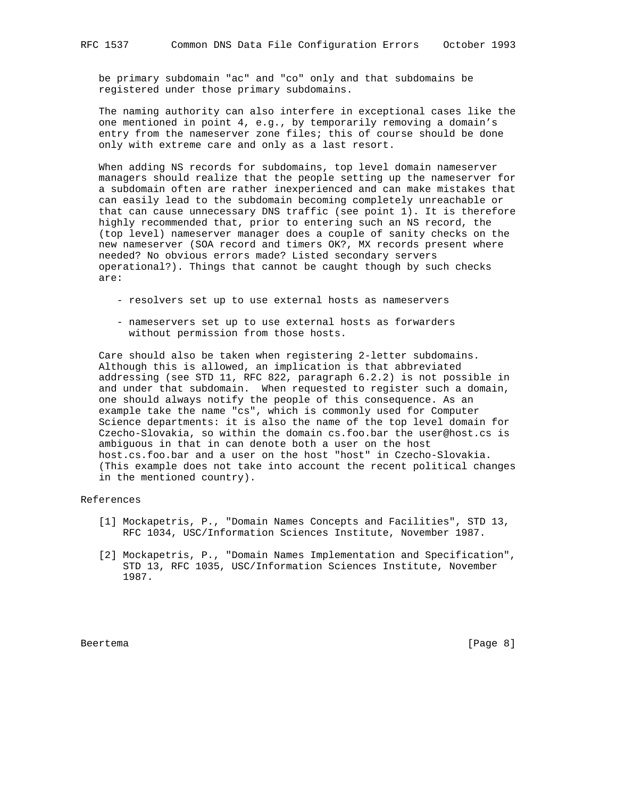be primary subdomain "ac" and "co" only and that subdomains be registered under those primary subdomains.

 The naming authority can also interfere in exceptional cases like the one mentioned in point 4, e.g., by temporarily removing a domain's entry from the nameserver zone files; this of course should be done only with extreme care and only as a last resort.

 When adding NS records for subdomains, top level domain nameserver managers should realize that the people setting up the nameserver for a subdomain often are rather inexperienced and can make mistakes that can easily lead to the subdomain becoming completely unreachable or that can cause unnecessary DNS traffic (see point 1). It is therefore highly recommended that, prior to entering such an NS record, the (top level) nameserver manager does a couple of sanity checks on the new nameserver (SOA record and timers OK?, MX records present where needed? No obvious errors made? Listed secondary servers operational?). Things that cannot be caught though by such checks are:

- resolvers set up to use external hosts as nameservers
- nameservers set up to use external hosts as forwarders without permission from those hosts.

 Care should also be taken when registering 2-letter subdomains. Although this is allowed, an implication is that abbreviated addressing (see STD 11, RFC 822, paragraph 6.2.2) is not possible in and under that subdomain. When requested to register such a domain, one should always notify the people of this consequence. As an example take the name "cs", which is commonly used for Computer Science departments: it is also the name of the top level domain for Czecho-Slovakia, so within the domain cs.foo.bar the user@host.cs is ambiguous in that in can denote both a user on the host host.cs.foo.bar and a user on the host "host" in Czecho-Slovakia. (This example does not take into account the recent political changes in the mentioned country).

#### References

- [1] Mockapetris, P., "Domain Names Concepts and Facilities", STD 13, RFC 1034, USC/Information Sciences Institute, November 1987.
- [2] Mockapetris, P., "Domain Names Implementation and Specification", STD 13, RFC 1035, USC/Information Sciences Institute, November 1987.

Beertema [Page 8]